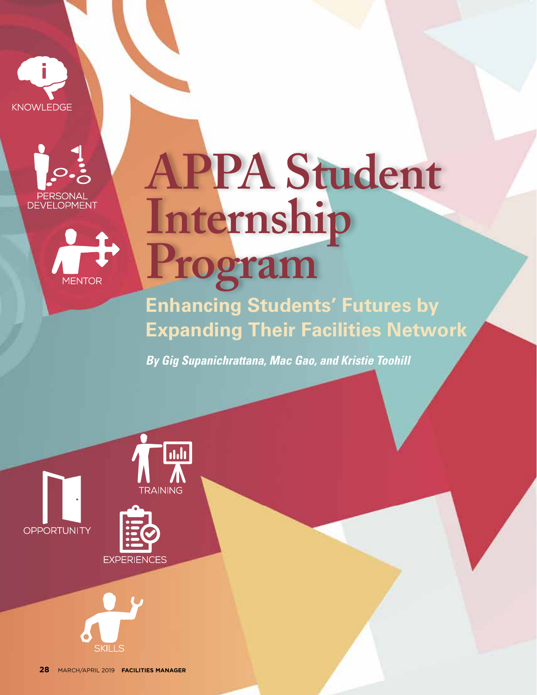





# **APPA Student Internship Program**

**Enhancing Students' Futures by Expanding Their Facilities Network**

*By Gig Supanichrattana, Mac Gao, and Kristie Toohill*





**OPPORTUNITY**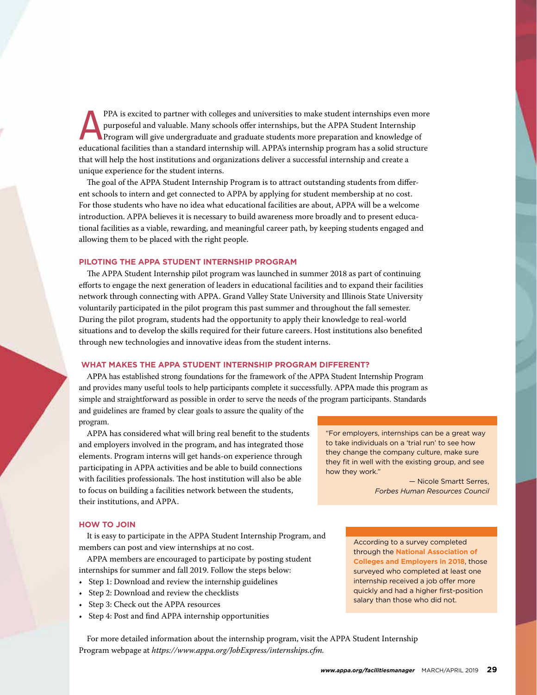PPA is excited to partner with colleges and universities to make student internships even more<br>purposeful and valuable. Many schools offer internships, but the APPA Student Internship<br>Program will give undergraduate and gr purposeful and valuable. Many schools offer internships, but the APPA Student Internship Program will give undergraduate and graduate students more preparation and knowledge of educational facilities than a standard internship will. APPA's internship program has a solid structure that will help the host institutions and organizations deliver a successful internship and create a unique experience for the student interns.

The goal of the APPA Student Internship Program is to attract outstanding students from different schools to intern and get connected to APPA by applying for student membership at no cost. For those students who have no idea what educational facilities are about, APPA will be a welcome introduction. APPA believes it is necessary to build awareness more broadly and to present educational facilities as a viable, rewarding, and meaningful career path, by keeping students engaged and allowing them to be placed with the right people.

#### **PILOTING THE APPA STUDENT INTERNSHIP PROGRAM**

The APPA Student Internship pilot program was launched in summer 2018 as part of continuing efforts to engage the next generation of leaders in educational facilities and to expand their facilities network through connecting with APPA. Grand Valley State University and Illinois State University voluntarily participated in the pilot program this past summer and throughout the fall semester. During the pilot program, students had the opportunity to apply their knowledge to real-world situations and to develop the skills required for their future careers. Host institutions also benefited through new technologies and innovative ideas from the student interns.

#### **WHAT MAKES THE APPA STUDENT INTERNSHIP PROGRAM DIFFERENT?**

APPA has established strong foundations for the framework of the APPA Student Internship Program and provides many useful tools to help participants complete it successfully. APPA made this program as simple and straightforward as possible in order to serve the needs of the program participants. Standards and guidelines are framed by clear goals to assure the quality of the program.

APPA has considered what will bring real benefit to the students and employers involved in the program, and has integrated those elements. Program interns will get hands-on experience through participating in APPA activities and be able to build connections with facilities professionals. The host institution will also be able to focus on building a facilities network between the students, their institutions, and APPA.

#### **HOW TO JOIN**

It is easy to participate in the APPA Student Internship Program, and members can post and view internships at no cost.

APPA members are encouraged to participate by posting student internships for summer and fall 2019. Follow the steps below:

- Step 1: Download and review the internship guidelines
- Step 2: Download and review the checklists
- Step 3: Check out the APPA resources
- Step 4: Post and find APPA internship opportunities

"For employers, internships can be a great way to take individuals on a 'trial run' to see how they change the company culture, make sure they fit in well with the existing group, and see how they work."

> — Nicole Smartt Serres, *Forbes Human Resources Council*

According to a survey completed through the **National Association of Colleges and Employers in 2018**, those surveyed who completed at least one internship received a job offer more quickly and had a higher first-position salary than those who did not.

For more detailed information about the internship program, visit the APPA Student Internship Program webpage at *https://www.appa.org/JobExpress/internships.cfm.*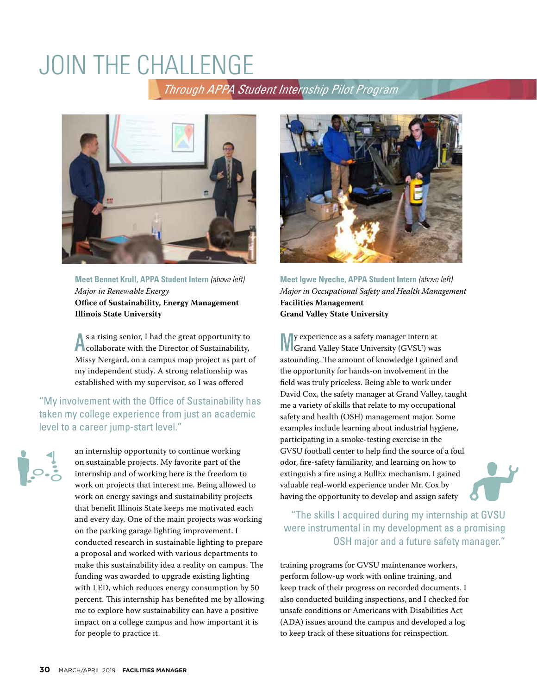## JOIN THE CHALLENGE

 *Through APPA Student Internship Pilot Program*



**Meet Bennet Krull, APPA Student Intern** *(above left) Major in Renewable Energy*  **Office of Sustainability, Energy Management Illinois State University**

As a rising senior, I had the great opportunity to<br>collaborate with the Director of Sustainability, s a rising senior, I had the great opportunity to Missy Nergard, on a campus map project as part of my independent study. A strong relationship was established with my supervisor, so I was offered

"My involvement with the Office of Sustainability has taken my college experience from just an academic level to a career jump-start level."

an internship opportunity to continue working on sustainable projects. My favorite part of the internship and of working here is the freedom to work on projects that interest me. Being allowed to work on energy savings and sustainability projects that benefit Illinois State keeps me motivated each and every day. One of the main projects was working on the parking garage lighting improvement. I conducted research in sustainable lighting to prepare a proposal and worked with various departments to make this sustainability idea a reality on campus. The funding was awarded to upgrade existing lighting with LED, which reduces energy consumption by 50 percent. This internship has benefited me by allowing me to explore how sustainability can have a positive impact on a college campus and how important it is for people to practice it.



**Meet Igwe Nyeche, APPA Student Intern** *(above left) Major in Occupational Safety and Health Management*  **Facilities Management Grand Valley State University**

My experience as a safety manager intern at Grand Valley State University (GVSU) was astounding. The amount of knowledge I gained and the opportunity for hands-on involvement in the field was truly priceless. Being able to work under David Cox, the safety manager at Grand Valley, taught me a variety of skills that relate to my occupational safety and health (OSH) management major. Some examples include learning about industrial hygiene, participating in a smoke-testing exercise in the GVSU football center to help find the source of a foul odor, fire-safety familiarity, and learning on how to extinguish a fire using a BullEx mechanism. I gained valuable real-world experience under Mr. Cox by having the opportunity to develop and assign safety

 "The skills I acquired during my internship at GVSU were instrumental in my development as a promising OSH major and a future safety manager."

training programs for GVSU maintenance workers, perform follow-up work with online training, and keep track of their progress on recorded documents. I also conducted building inspections, and I checked for unsafe conditions or Americans with Disabilities Act (ADA) issues around the campus and developed a log to keep track of these situations for reinspection.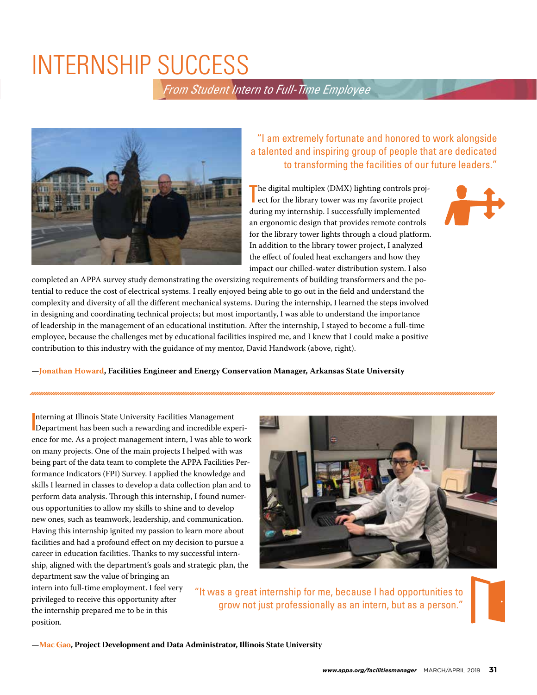### INTERNSHIP SUCCESS

 *From Student Intern to Full-Time Employee*



"I am extremely fortunate and honored to work alongside a talented and inspiring group of people that are dedicated to transforming the facilities of our future leaders."

 $\begin{tabular}{|p{0.5cm}|} \hline \textbf{he digital multiplex (DMX) lighting controls pro} \\ \hline \textbf{ect for the library tower was my favorite project} \end{tabular}$ he digital multiplex (DMX) lighting controls projduring my internship. I successfully implemented an ergonomic design that provides remote controls for the library tower lights through a cloud platform. In addition to the library tower project, I analyzed the effect of fouled heat exchangers and how they impact our chilled-water distribution system. I also



completed an APPA survey study demonstrating the oversizing requirements of building transformers and the potential to reduce the cost of electrical systems. I really enjoyed being able to go out in the field and understand the complexity and diversity of all the different mechanical systems. During the internship, I learned the steps involved in designing and coordinating technical projects; but most importantly, I was able to understand the importance of leadership in the management of an educational institution. After the internship, I stayed to become a full-time employee, because the challenges met by educational facilities inspired me, and I knew that I could make a positive contribution to this industry with the guidance of my mentor, David Handwork (above, right).

**—Jonathan Howard, Facilities Engineer and Energy Conservation Manager, Arkansas State University**

I nterning at Illinois State University Facilities Management Department has been such a rewarding and incredible experience for me. As a project management intern, I was able to work on many projects. One of the main projects I helped with was being part of the data team to complete the APPA Facilities Performance Indicators (FPI) Survey. I applied the knowledge and skills I learned in classes to develop a data collection plan and to perform data analysis. Through this internship, I found numerous opportunities to allow my skills to shine and to develop new ones, such as teamwork, leadership, and communication. Having this internship ignited my passion to learn more about facilities and had a profound effect on my decision to pursue a career in education facilities. Thanks to my successful internship, aligned with the department's goals and strategic plan, the department saw the value of bringing an

intern into full-time employment. I feel very privileged to receive this opportunity after the internship prepared me to be in this position.

"It was a great internship for me, because I had opportunities to grow not just professionally as an intern, but as a person."

**—Mac Gao, Project Development and Data Administrator, Illinois State University**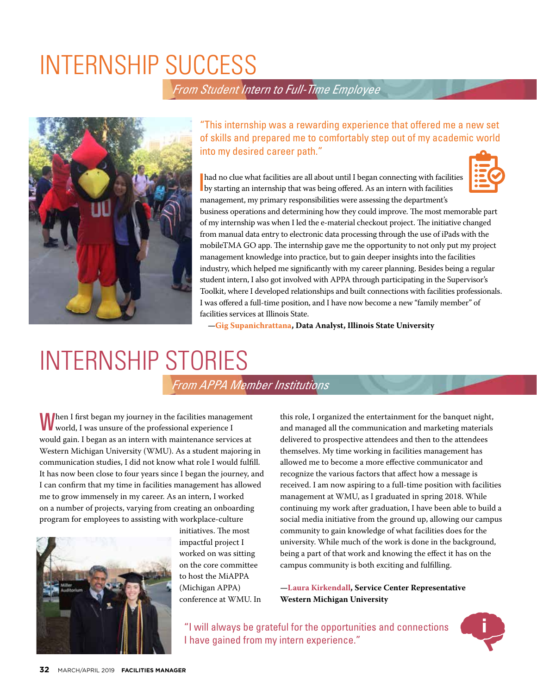### INTERNSHIP SUCCESS

### *From Student Intern to Full-Time Employee*



"This internship was a rewarding experience that offered me a new set of skills and prepared me to comfortably step out of my academic world into my desired career path."

I had no clue what facilities are all about until I began connecting with facility by starting an internship that was being offered. As an intern with facilities had no clue what facilities are all about until I began connecting with facilities management, my primary responsibilities were assessing the department's



business operations and determining how they could improve. The most memorable part of my internship was when I led the e-material checkout project. The initiative changed from manual data entry to electronic data processing through the use of iPads with the mobileTMA GO app. The internship gave me the opportunity to not only put my project management knowledge into practice, but to gain deeper insights into the facilities industry, which helped me significantly with my career planning. Besides being a regular student intern, I also got involved with APPA through participating in the Supervisor's Toolkit, where I developed relationships and built connections with facilities professionals. I was offered a full-time position, and I have now become a new "family member" of facilities services at Illinois State.

**—Gig Supanichrattana, Data Analyst, Illinois State University**

## INTERNSHIP STORIES

#### *From APPA Member Institutions*

When I first began my journey in the facilities management world, I was unsure of the professional experience I would gain. I began as an intern with maintenance services at Western Michigan University (WMU). As a student majoring in communication studies, I did not know what role I would fulfill. It has now been close to four years since I began the journey, and I can confirm that my time in facilities management has allowed me to grow immensely in my career. As an intern, I worked on a number of projects, varying from creating an onboarding program for employees to assisting with workplace-culture



initiatives. The most impactful project I worked on was sitting on the core committee to host the MiAPPA (Michigan APPA) conference at WMU. In this role, I organized the entertainment for the banquet night, and managed all the communication and marketing materials delivered to prospective attendees and then to the attendees themselves. My time working in facilities management has allowed me to become a more effective communicator and recognize the various factors that affect how a message is received. I am now aspiring to a full-time position with facilities management at WMU, as I graduated in spring 2018. While continuing my work after graduation, I have been able to build a social media initiative from the ground up, allowing our campus community to gain knowledge of what facilities does for the university. While much of the work is done in the background, being a part of that work and knowing the effect it has on the campus community is both exciting and fulfilling.

**—Laura Kirkendall, Service Center Representative Western Michigan University**

"I will always be grateful for the opportunities and connections I have gained from my intern experience."